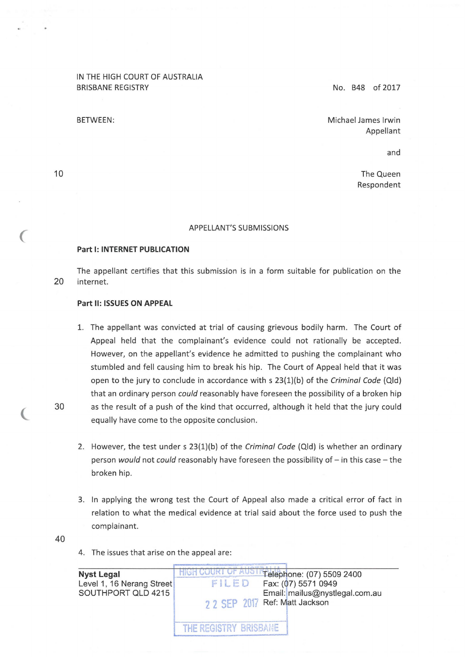# IN THE HIGH COURT OF AUSTRALIA BRISBANE REGISTRY

BETWEEN:

No. B48 of 2017

Michael James lrwin Appellant

and

The Queen Respondent

#### APPELLANT'S SUBMISSIONS

### **Part 1: INTERNET PUBLICATION**

The appellant certifies that this submission is in a form suitable for publication on the 20 internet.

#### **Part 11: ISSUES ON APPEAL**

- 1. The appellant was convicted at trial of causing grievous bodily harm. The Court of Appeal held that the complainant's evidence could not rationally be accepted. However, on the appellant's evidence he admitted to pushing the complainant who stumbled and fell causing him to break his hip. The Court of Appeal held that it was open to the jury to conclude in accordance with s 23(1)(b) of the Criminal Code (Qid) that an ordinary person could reasonably have foreseen the possibility of a broken hip 30 as the result of a push of the kind that occurred, although it held that the jury could equally have come to the opposite conclusion.
	- 2. However, the test under s  $23(1)(b)$  of the Criminal Code (Qld) is whether an ordinary person would not could reasonably have foreseen the possibility of - in this case - the broken hip.
	- 3. In applying the wrong test the Court of Appeal also made a critical error of fact in relation to what the medical evidence at trial said about the force used to push the complainant.
- 40
- 4. The issues that arise on the appeal are:

| <b>Nyst Legal</b>         | Telephone: (07) 5509 2400      |
|---------------------------|--------------------------------|
| Level 1, 16 Nerang Street | FILED<br>Fax: (07) 5571 0949   |
| SOUTHPORT QLD 4215        | Email: mailus@nystlegal.com.au |
|                           | 2 2 SEP 2017 Ref: Matt Jackson |
|                           | THE REGISTRY BRISBANE          |

10

 $\big($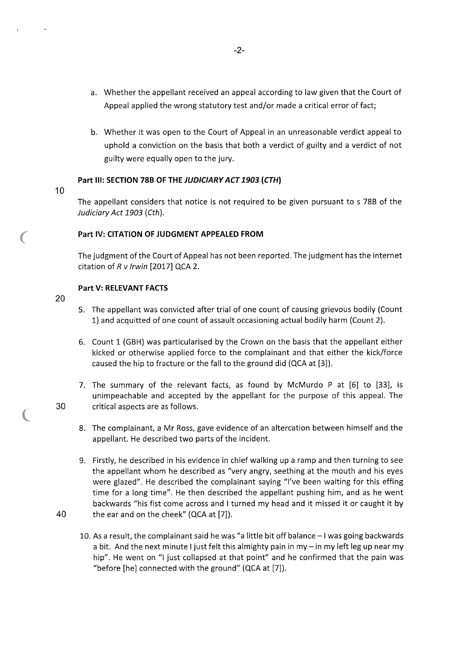- a. Whether the appellant received an appeal according to law given that the Court of Appeal applied the wrong statutory test and/or made a critical error of fact;
- b. Whether it was open to the Court of Appeal in an unreasonable verdict appeal to uphold a conviction on the basis that both a verdict of guilty and a verdict of not guilty were equally open to the jury.

### **Part** Ill: **SECTION 788 OF THE JUDICIARY ACT 1903 (CTH)**

10

The appellant considers that notice is not required to be given pursuant to s 788 of the Judiciary Act 1903 (Cth).

### **Part** IV: **CITATION OF JUDGMENT APPEALED FROM**

The judgment of the Court of Appeal has not been reported. The judgment has the internet citation of  $R$  v Irwin [2017] QCA 2.

### **Part V: RELEVANT FACTS**

- 20
- 5. The appellant was convicted after trial of one count of causing grievous bodily (Count 1) and acquitted of one count of assault occasioning actual bodily harm (Count 2).
- 6. Count 1 (GBH) was particularised by the Crown on the basis that the appellant either kicked or otherwise applied force to the complainant and that either the kick/force caused the hip to fracture or the fall to the ground did (QCA at [3]).
- 7. The summary of the relevant facts, as found by McMurdo P at [6] to [33], is unimpeachable and accepted by the appellant for the purpose of this appeal. The 30 critical aspects are as follows.
	- 8. The complainant, a Mr Ross, gave evidence of an altercation between himself and the appellant. He described two parts of the incident.
- 9. Firstly, he described in his evidence in chief walking up a ramp and then turning to see the appellant whom he described as "very angry, seething at the mouth and his eyes were glazed". He described the complainant saying "I've been waiting for this effing time for a long time". He then described the appellant pushing him, and as he went backwards "his fist come across and I turned my head and it missed it or caught it by 40 the ear and on the cheek" (QCA at [7]).
	- 10. As a result, the complainant said he was "a little bit off balance -I was going backwards a bit. And the next minute I just felt this almighty pain in my - in my left leg up near my hip". He went on "I just collapsed at that point" and he confirmed that the pain was "before [he] connected with the ground" (QCA at [7]).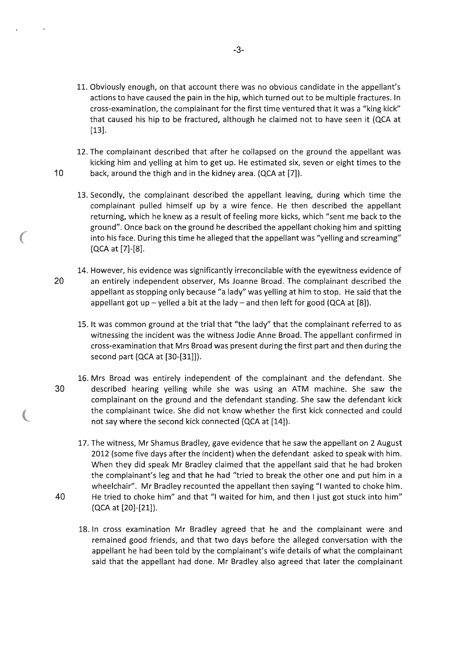11. Obviously enough, on that account there was no obvious candidate in the appellant's actions to have caused the pain in the hip, which turned out to be multiple fractures. In cross-examination, the complainant for the first time ventured that it was a "king kick" that caused his hip to be fractured, although he claimed not to have seen it (QCA at [13].

12. The complainant described that after he collapsed on the ground the appellant was kicking him and yelling at him to get up. He estimated six, seven or eight times to the 10 back, around the thigh and in the kidney area. (QCA at [7]).

13. Secondly, the complainant described the appellant leaving, during which time the complainant pulled himself up by a wire fence. He then described the appellant returning, which he knew as a result of feeling more kicks, which "sent me back to the ground". Once back on the ground he described the appellant choking him and spitting into his face. During this time he alleged that the appellant was "yelling and screaming" (QCA at [7]-[8].

- 14. However, his evidence was significantly irreconcilable with the eyewitness evidence of 20 an entirely independent observer, Ms Joanne Broad. The complainant described the appellant as stopping only because "a lady" was yelling at him to stop. He said that the appellant got up - yelled a bit at the lady - and then left for good (QCA at  $[8]$ ).
	- 15. lt was common ground at the trial that "the lady" that the complainant referred to as witnessing the incident was the witness Jodie Anne Broad. The appellant confirmed in cross-examination that Mrs Broad was present during the first part and then during the second part (QCA at [30-[31]]).
- 16. Mrs Broad was entirely independent of the complainant and the defendant. She 30 described hearing yelling while she was using an ATM machine. She saw the complainant on the ground and the defendant standing. She saw the defendant kick the complainant twice. She did not know whether the first kick connected and could not say where the second kick connected (QCA at [14]).
- 17. The witness, Mr Shamus Bradley, gave evidence that he saw the appellant on 2 August 2012 (some five days after the incident) when the defendant asked to speak with him. When they did speak Mr Bradley claimed that the appellant said that he had broken the complainant's leg and that he had "tried to break the other one and put him in a wheelchair". Mr Bradley recounted the appellant then saying "I wanted to choke him. 40 He tried to choke him" and that "I waited for him, and then I just got stuck into him" (QCA at [20]-[21]).
	- 18. In cross examination Mr Bradley agreed that he and the complainant were and remained good friends, and that two days before the alleged conversation with the appellant he had been told by the complainant's wife details of what the complainant said that the appellant had done. Mr Bradley also agreed that later the complainant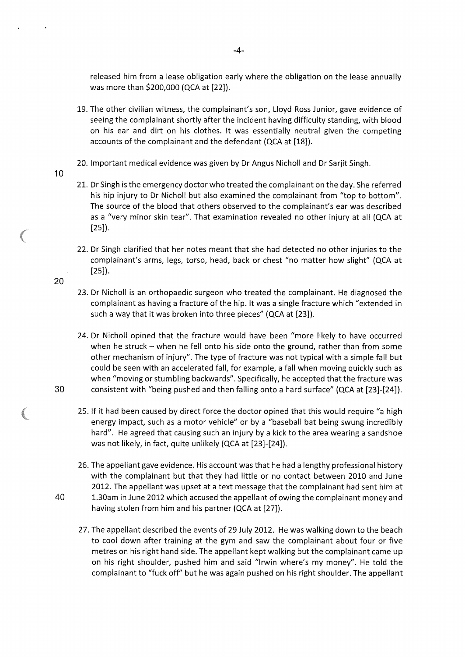released him from a lease obligation early where the obligation on the lease annually was more than \$200,000 (QCA at [22]).

- 19. The other civilian witness, the complainant's son, Lloyd Ross Junior, gave evidence of seeing the complainant shortly after the incident having difficulty standing, with blood on his ear and dirt on his clothes. lt was essentially neutral given the competing accounts of the complainant and the defendant (QCA at [18]).
- 20. Important medical evidence was given by Dr Angus Nicholl and Dr Sarjit Singh.
- 21. Dr Singh is the emergency doctor who treated the complainant on the day. She referred his hip injury to Dr Nicholl but also examined the complainant from "top to bottom". The source of the blood that others observed to the complainant's ear was described as a "very minor skin tear". That examination revealed no other injury at all (QCA at [25]).
- 22. Dr Singh clarified that her notes meant that she had detected no other injuries to the complainant's arms, legs, torso, head, back or chest "no matter how slight" (QCA at [25]).
- 23. Dr Nicholl is an orthopaedic surgeon who treated the complainant. He diagnosed the complainant as having a fracture of the hip. lt was a single fracture which "extended in such a way that it was broken into three pieces" (QCA at [23]).
- 24. Dr Nicholl opined that the fracture would have been "more likely to have occurred when he struck - when he fell onto his side onto the ground, rather than from some other mechanism of injury". The type of fracture was not typical with a simple fall but could be seen with an accelerated fall, for example, a fall when moving quickly such as when "moving or stumbling backwards". Specifically, he accepted that the fracture was 30 consistent with "being pushed and then falling onto a hard surface" (QCA at [23]-[24]).
	- 25. If it had been caused by direct force the doctor opined that this would require "a high energy impact, such as a motor vehicle" or by a "baseball bat being swung incredibly hard". He agreed that causing such an injury by a kick to the area wearing a sandshoe was not likely, in fact, quite unlikely (QCA at [23]-[24]).
- 26. The appellant gave evidence. His account was that he had a lengthy professional history with the complainant but that they had little or no contact between 2010 and June 2012. The appellant was upset at a text message that the complainant had sent him at 40 1.30am in June 2012 which accused the appellant of owing the complainant money and having stolen from him and his partner (QCA at [27]).
	- 27. The appellant described the events of 29 July 2012. He was walking down to the beach to cool down after training at the gym and saw the complainant about four or five metres on his right hand side. The appellant kept walking but the complainant came up on his right shoulder, pushed him and said "lrwin where's my money". He told the complainant to "fuck off" but he was again pushed on his right shoulder. The appellant

10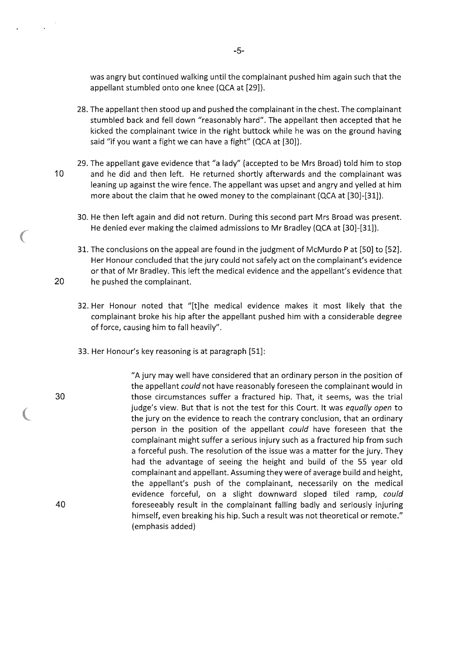was angry but continued walking until the complainant pushed him again such that the appellant stumbled onto one knee (QCA at [29]).

- 28. The appellant then stood up and pushed the complainant in the chest. The complainant stumbled back and fell down "reasonably hard". The appellant then accepted that he kicked the complainant twice in the right buttock while he was on the ground having said "if you want a fight we can have a fight" (QCA at [30]).
- 29. The appellant gave evidence that "a lady" (accepted to be Mrs Broad) told him to stop 10 and he did and then left. He returned shortly afterwards and the complainant was leaning up against the wire fence. The appellant was upset and angry and yelled at him more about the claim that he owed money to the complainant (QCA at [30]-[31]).
	- 30. He then left again and did not return. During this second part Mrs Broad was present. He denied ever making the claimed admissions to Mr Bradley (QCA at [30]-[31]).
- 31. The conclusions on the appeal are found in the judgment of McMurdo Pat [SO] to [52]. Her Honour concluded that the jury could not safely act on the complainant's evidence or that of Mr Bradley. This left the medical evidence and the appellant's evidence that 20 he pushed the complainant.
	- 32. Her Honour noted that "[t]he medical evidence makes it most likely that the complainant broke his hip after the appellant pushed him with a considerable degree of force, causing him to fall heavily".
	- 33. Her Honour's key reasoning is at paragraph [51]:

"A jury may well have considered that an ordinary person in the position of the appellant could not have reasonably foreseen the complainant would in those circumstances suffer a fractured hip. That, it seems, was the trial judge's view. But that is not the test for this Court. It was equally open to the jury on the evidence to reach the contrary conclusion, that an ordinary person in the position of the appellant could have foreseen that the complainant might suffer a serious injury such as a fractured hip from such a forceful push. The resolution of the issue was a matter for the jury. They had the advantage of seeing the height and build of the 55 year old complainant and appellant. Assuming they were of average build and height, the appellant's push of the complainant, necessarily on the medical evidence forceful, on a slight downward sloped tiled ramp, could foreseeably result in the complainant falling badly and seriously injuring himself, even breaking his hip. Such a result was not theoretical or remote." (emphasis added)

40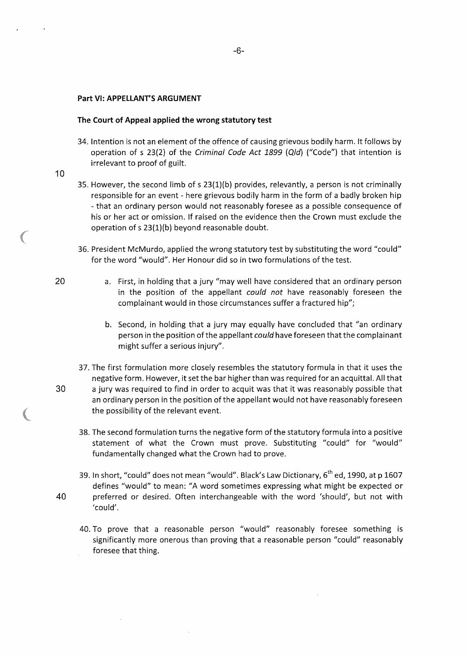#### **Part VI: APPELLANT'S ARGUMENT**

#### **The Court of Appeal applied the wrong statutory test**

- 34. Intention is not an element of the offence of causing grievous bodily harm. lt follows by operation of s 23(2) of the Criminal Code Act 1899 (Qid) ("Code") that intention is irrelevant to proof of guilt.
- 10
- 35. However, the second limb of s 23(1)(b) provides, relevantly, a person is not criminally responsible for an event- here grievous bodily harm in the form of a badly broken hip -that an ordinary person would not reasonably foresee as a possible consequence of his or her act or omission. If raised on the evidence then the Crown must exclude the operation of s 23(1)(b) beyond reasonable doubt.
- 36. President McMurdo, applied the wrong statutory test by substituting the word "could" for the word "would". Her Honour did so in two formulations of the test.
	- a. First, in holding that a jury "may well have considered that an ordinary person in the position of the appellant could not have reasonably foreseen the complainant would in those circumstances suffer a fractured hip";
		- b. Second, in holding that a jury may equally have concluded that "an ordinary person in the position of the appellant could have foreseen that the complainant might suffer a serious injury".
- 37. The first formulation more closely resembles the statutory formula in that it uses the negative form. However, it set the bar higher than was required for an acquittal. All that 30 a jury was required to find in order to acquit was that it was reasonably possible that an ordinary person in the position of the appellant would not have reasonably foreseen the possibility of the relevant event.
	- 38. The second formulation turns the negative form of the statutory formula into a positive statement of what the Crown must prove. Substituting "could" for "would" fundamentally changed what the Crown had to prove.
- 39. In short, "could" does not mean "would". Black's Law Dictionary, 6<sup>th</sup> ed, 1990, at p 1607 defines "would" to mean: "A word sometimes expressing what might be expected or 40 preferred or desired. Often interchangeable with the word 'should', but not with 'could'.
	- 40. To prove that a reasonable person "would" reasonably foresee something is significantly more onerous than proving that a reasonable person "could" reasonably foresee that thing.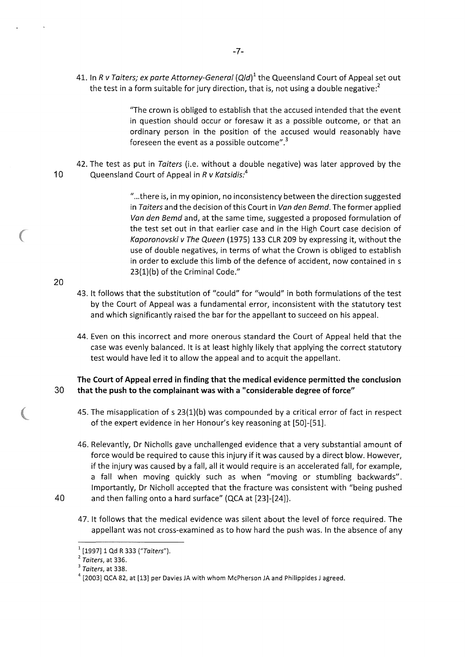41. In R v Taiters; ex parte Attorney-General  $\left(Q/d\right)^1$  the Queensland Court of Appeal set out the test in a form suitable for jury direction, that is, not using a double negative:<sup>2</sup>

> "The crown is obliged to establish that the accused intended that the event in question should occur or foresaw it as a possible outcome, or that an ordinary person in the position of the accused would reasonably have foreseen the event as a possible outcome".<sup>3</sup>

42. The test as put in Taiters (i.e. without a double negative) was later approved by the 10 Queensland Court of Appeal in R v Katsidis:*<sup>4</sup>*

> "... there is, in my opinion, no inconsistency between the direction suggested in Taiters and the decision of this Court in Van den Bemd. The former applied Van den Bemd *and,* at the same time, suggested a proposed formulation of the test set out in that earlier case and in the High Court case decision of Kaporonovski v The Queen (1975) 133 CLR 209 by expressing it, without the use of double negatives, in terms of what the Crown is obliged to establish in order to exclude this limb of the defence of accident, now contained in s 23(1)(b) of the Criminal Code."

- 43. lt follows that the substitution of "could" for "would" in both formulations of the test by the Court of Appeal was a fundamental error, inconsistent with the statutory test and which significantly raised the bar for the appellant to succeed on his appeal.
- 44. Even on this incorrect and more onerous standard the Court of Appeal held that the case was evenly balanced. lt is at least highly likely that applying the correct statutory test would have led it to allow the appeal and to acquit the appellant.

# **The Court of Appeal erred in finding that the medical evidence permitted the conclusion**  30 **that the push to the complainant was with a "considerable degree of force"**

- 45. The misapplication of s 23(1)(b) was compounded by a critical error of fact in respect of the expert evidence in her Honour's key reasoning at [50]-[51].
- 46. Relevantly, Dr Nicholls gave unchallenged evidence that a very substantial amount of force would be required to cause this injury if it was caused by a direct blow. However, if the injury was caused by a fall, all it would require is an accelerated fall, for example, a fall when moving quickly such as when "moving or stumbling backwards". Importantly, Dr Nicholl accepted that the fracture was consistent with "being pushed 40 and then falling onto a hard surface" (QCA at [23]-[24]).
	- 47. lt follows that the medical evidence was silent about the level of force required. The appellant was not cross-examined as to how hard the push was. In the absence of any

 $1$ [1997] 1 Qd R 333 ("Taiters").

 $2 \overline{T}$ aiters, at 336.

 $3$  Taiters, at 338.

 $4$  [2003] QCA 82, at [13] per Davies JA with whom McPherson JA and Philippides J agreed.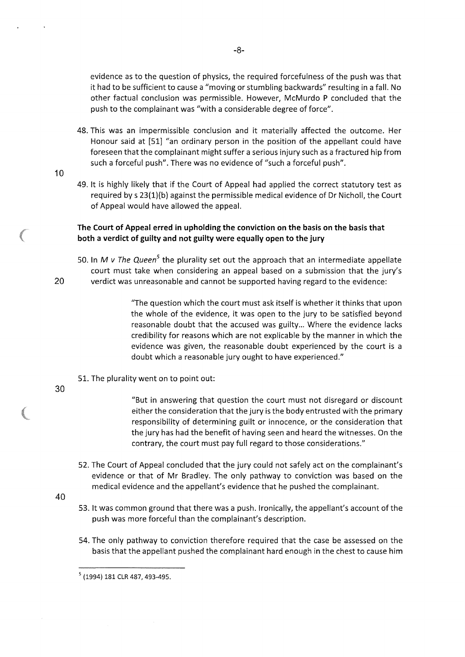evidence as to the question of physics, the required forcefulness of the push was that it had to be sufficient to cause a "moving or stumbling backwards" resulting in a fall. No other factual conclusion was permissible. However, McMurdo P concluded that the push to the complainant was "with a considerable degree of force".

- 48. This was an impermissible conclusion and it materially affected the outcome. Her Honour said at [51] "an ordinary person in the position of the appellant could have foreseen that the complainant might suffer a serious injury such as a fractured hip from such a forceful push". There was no evidence of "such a forceful push".
- 10
- 49. lt is highly likely that if the Court of Appeal had applied the correct statutory test as required by s 23(1)(b) against the permissible medical evidence of Dr Nicholl, the Court of Appeal would have allowed the appeal.

# **The Court of Appeal erred in upholding the conviction on the basis on the basis that both a verdict of guilty and not guilty were equally open to the jury**

50. In *M v The Queen*<sup>5</sup> the plurality set out the approach that an intermediate appellate court must take when considering an appeal based on a submission that the jury's 20 verdict was unreasonable and cannot be supported having regard to the evidence:

> "The question which the court must ask itself is whether it thinks that upon the whole of the evidence, it was open to the jury to be satisfied beyond reasonable doubt that the accused was guilty... Where the evidence lacks credibility for reasons which are not explicable by the manner in which the evidence was given, the reasonable doubt experienced by the court is a doubt which a reasonable jury ought to have experienced."

- 51. The plurality went on to point out:
- 30

"But in answering that question the court must not disregard or discount either the consideration that the jury is the body entrusted with the primary responsibility of determining guilt or innocence, or the consideration that the jury has had the benefit of having seen and heard the witnesses. On the contrary, the court must pay full regard to those considerations."

- 52. The Court of Appeal concluded that the jury could not safely act on the complainant's evidence or that of Mr Bradley. The only pathway to conviction was based on the medical evidence and the appellant's evidence that he pushed the complainant.
- 40
- 53. lt was common ground that there was a push. Ironically, the appellant's account of the push was more forceful than the complainant's description.
- 54. The only pathway to conviction therefore required that the case be assessed on the basis that the appellant pushed the complainant hard enough in the chest to cause him

<sup>5 (1994) 181</sup> CLR 487, 493-495.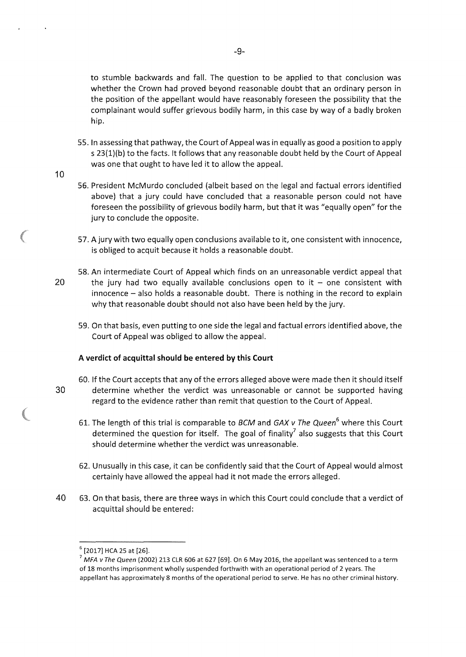to stumble backwards and fall. The question to be applied to that conclusion was whether the Crown had proved beyond reasonable doubt that an ordinary person in the position of the appellant would have reasonably foreseen the possibility that the complainant would suffer grievous bodily harm, in this case by way of a badly broken hip.

- 55. In assessing that pathway, the Court of Appeal was in equally as good a position to apply s 23(1)(b) to the facts. lt follows that any reasonable doubt held by the Court of Appeal was one that ought to have led it to allow the appeal.
- 10
- 56. President McMurdo concluded (albeit based on the legal and factual errors identified above) that a jury could have concluded that a reasonable person could not have foreseen the possibility of grievous bodily harm, but that it was "equally open" for the jury to conclude the opposite.
- 57. A jury with two equally open conclusions available to it, one consistent with innocence, is obliged to acquit because it holds a reasonable doubt.
- 58. An intermediate Court of Appeal which finds on an unreasonable verdict appeal that 20 the jury had two equally available conclusions open to it  $-$  one consistent with  $i$ innocence  $-$  also holds a reasonable doubt. There is nothing in the record to explain why that reasonable doubt should not also have been held by the jury.
	- 59. On that basis, even putting to one side the legal and factual errors identified above, the Court of Appeal was obliged to allow the appeal.

### **A verdict of acquittal should be entered by this Court**

- 60. If the Court accepts that any of the errors alleged above were made then it should itself 30 determine whether the verdict was unreasonable or cannot be supported having regard to the evidence rather than remit that question to the Court of Appeal.
	- 61. The length of this trial is comparable to *BCM* and *GAX v The Queen*<sup>6</sup> where this Court determined the question for itself. The goal of finality<sup>7</sup> also suggests that this Court should determine whether the verdict was unreasonable.
	- 62. Unusually in this case, it can be confidently said that the Court of Appeal would almost certainly have allowed the appeal had it not made the errors alleged.
- 40 63. On that basis, there are three ways in which this Court could conclude that a verdict of acquittal should be entered:

 $^6$  [2017] HCA 25 at [26].<br><sup>7</sup> MFA *v The Queen* (2002) 213 CLR 606 at 627 [69]. On 6 May 2016, the appellant was sentenced to a term of 18 months imprisonment wholly suspended forthwith with an operational period of 2 years. The appellant has approximately 8 months of the operational period to serve. He has no other criminal history.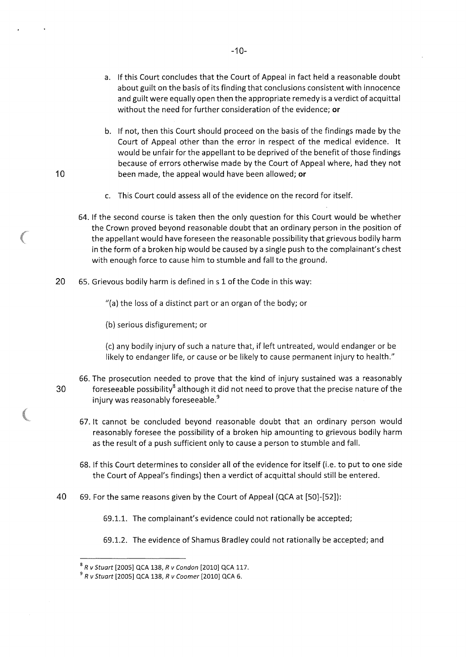- a. If this Court concludes that the Court of Appeal in fact held a reasonable doubt about guilt on the basis of its finding that conclusions consistent with innocence and guilt were equally open then the appropriate remedy is a verdict of acquittal without the need for further consideration of the evidence; or
- b. If not, then this Court should proceed on the basis of the findings made by the Court of Appeal other than the error in respect of the medical evidence. lt would be unfair for the appellant to be deprived of the benefit of those findings because of errors otherwise made by the Court of Appeal where, had they not been made, the appeal would have been allowed; or
- c. This Court could assess all of the evidence on the record for itself.
- 64. If the second course is taken then the only question for this Court would be whether the Crown proved beyond reasonable doubt that an ordinary person in the position of the appellant would have foreseen the reasonable possibility that grievous bodily harm in the form of a broken hip would be caused by a single push to the complainant's chest with enough force to cause him to stumble and fall to the ground.
- 20 65. Grievous bodily harm is defined ins 1 of the Code in this way:

"(a) the loss of a distinct part or an organ of the body; or

(b) serious disfigurement; or

10

(c) any bodily injury of such a nature that, if left untreated, would endanger or be likely to endanger life, or cause or be likely to cause permanent injury to health."

- 66. The prosecution needed to prove that the kind of injury sustained was a reasonably  $30$  foreseeable possibility<sup>8</sup> although it did not need to prove that the precise nature of the injury was reasonably foreseeable.<sup>9</sup>
	- 67. lt cannot be concluded beyond reasonable doubt that an ordinary person would reasonably foresee the possibility of a broken hip amounting to grievous bodily harm as the result of a push sufficient only to cause a person to stumble and fall.
	- 68. If this Court determines to consider all of the evidence for itself (i.e. to put to one side the Court of Appeal's findings) then a verdict of acquittal should still be entered.
- 40 69. For the same reasons given by the Court of Appeal (QCA at [50]-[52]):

69.1.1. The complainant's evidence could not rationally be accepted;

69.1.2. The evidence of Shamus Bradley could not rationally be accepted; and

<sup>8</sup>R *v* Stuart [2005] QCA 138, R *v* Condon [2010] QCA 117.

 $^{9}$  R v Stuart [2005] QCA 138, R v Coomer [2010] QCA 6.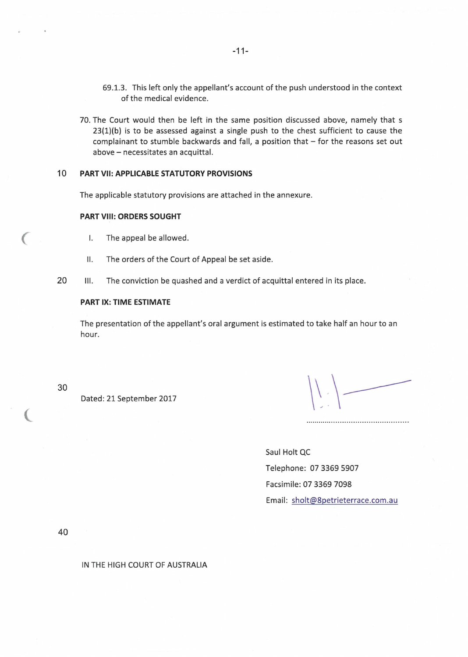- 69.1.3. This left only the appellant's account of the push understood in the context of the medical evidence.
- 70. The Court would then be left in the same position discussed above, namely that s 23(1)(b) is to be assessed against a single push to the chest sufficient to cause the complainant to stumble backwards and fall, a position that  $-$  for the reasons set out above - necessitates an acquittal.

#### **10 PART VII: APPLICABLE STATUTORY PROVISIONS**

The applicable statutory provisions are attached in the annexure.

#### **PART VIII: ORDERS SOUGHT**

- I. The appeal be allowed.
- 11. The orders of the Court of Appeal be set aside.
- 20 III. The conviction be quashed and a verdict of acquittal entered in its place.

### **PART IX: TIME ESTIMATE**

The presentation of the appellant's oral argument is estimated to take half an hour to an hour.

30

 $\big($ 

(

Dated: 21 September 2017

 $\left|\left|\frac{1}{2}\right|\right|$ 

Saul Holt QC Telephone: 07 3369 5907 Facsimile: 07 3369 7098 Email: sholt@8petrieterrace.com.au

40

IN THE HIGH COURT OF AUSTRALIA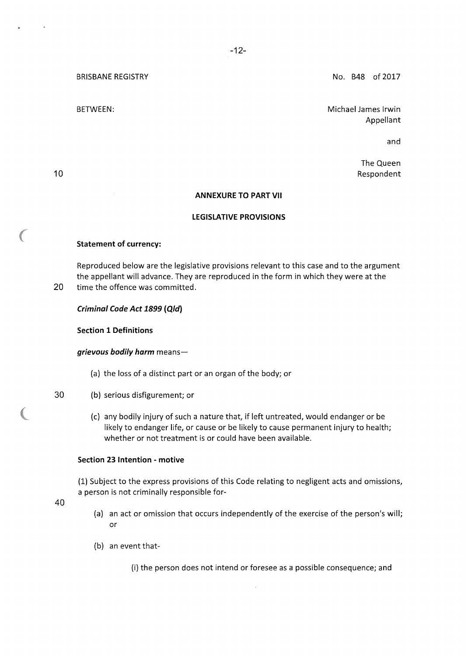BRISBANE REGISTRY

BETWEEN:

No. B48 of 2017

Michael James lrwin Appellant

and

The Queen Respondent

# **ANNEXURE TO PART VII**

### **LEGISLATIVE PROVISIONS**

### **Statement of currency:**

Reproduced below are the legislative provisions relevant to this case and to the argument the appellant will advance. They are reproduced in the form in which they were at the 20 time the offence was committed.

### *Criminal Code Act 1899* **(Q/d)**

**Section 1 Definitions** 

*grievous bodily harm* means-

- (a) the loss of a distinct part or an organ of the body; or
- 30 (b) serious disfigurement; or
	- (c) any bodily injury of such a nature that, if left untreated, would endanger or be likely to endanger life, or cause or be likely to cause permanent injury to health; whether or not treatment is or could have been available.

#### **Section 23 Intention - motive**

(1) Subject to the express provisions of this Code relating to negligent acts and omissions, a person is not criminally responsible for-

40

- (a) an act or omission that occurs independently of the exercise of the person's will; or
- (b) an event that-

(i) the person does not intend or foresee as a possible consequence; and

10

**CONTRACTOR**